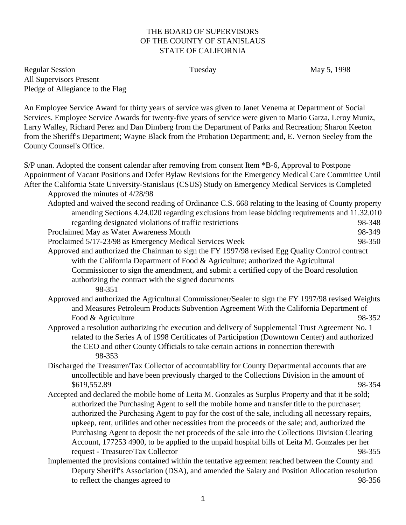## THE BOARD OF SUPERVISORS OF THE COUNTY OF STANISLAUS STATE OF CALIFORNIA

Regular Session **Tuesday** May 5, 1998 All Supervisors Present Pledge of Allegiance to the Flag

An Employee Service Award for thirty years of service was given to Janet Venema at Department of Social Services. Employee Service Awards for twenty-five years of service were given to Mario Garza, Leroy Muniz, Larry Walley, Richard Perez and Dan Dimberg from the Department of Parks and Recreation; Sharon Keeton from the Sheriff's Department; Wayne Black from the Probation Department; and, E. Vernon Seeley from the County Counsel's Office.

S/P unan. Adopted the consent calendar after removing from consent Item \*B-6, Approval to Postpone Appointment of Vacant Positions and Defer Bylaw Revisions for the Emergency Medical Care Committee Until After the California State University-Stanislaus (CSUS) Study on Emergency Medical Services is Completed Approved the minutes of 4/28/98 Adopted and waived the second reading of Ordinance C.S. 668 relating to the leasing of County property amending Sections 4.24.020 regarding exclusions from lease bidding requirements and 11.32.010 regarding designated violations of traffic restrictions 98-348 Proclaimed May as Water Awareness Month 98-349 Proclaimed 5/17-23/98 as Emergency Medical Services Week 98-350 Approved and authorized the Chairman to sign the FY 1997/98 revised Egg Quality Control contract with the California Department of Food & Agriculture; authorized the Agricultural Commissioner to sign the amendment, and submit a certified copy of the Board resolution authorizing the contract with the signed documents 98-351 Approved and authorized the Agricultural Commissioner/Sealer to sign the FY 1997/98 revised Weights and Measures Petroleum Products Subvention Agreement With the California Department of Food & Agriculture 98-352 Approved a resolution authorizing the execution and delivery of Supplemental Trust Agreement No. 1 related to the Series A of 1998 Certificates of Participation (Downtown Center) and authorized the CEO and other County Officials to take certain actions in connection therewith 98-353 Discharged the Treasurer/Tax Collector of accountability for County Departmental accounts that are uncollectible and have been previously charged to the Collections Division in the amount of \$619,552.89 98-354 Accepted and declared the mobile home of Leita M. Gonzales as Surplus Property and that it be sold; authorized the Purchasing Agent to sell the mobile home and transfer title to the purchaser; authorized the Purchasing Agent to pay for the cost of the sale, including all necessary repairs, upkeep, rent, utilities and other necessities from the proceeds of the sale; and, authorized the Purchasing Agent to deposit the net proceeds of the sale into the Collections Division Clearing Account, 177253 4900, to be applied to the unpaid hospital bills of Leita M. Gonzales per her request - Treasurer/Tax Collector 98-355 Implemented the provisions contained within the tentative agreement reached between the County and Deputy Sheriff's Association (DSA), and amended the Salary and Position Allocation resolution

to reflect the changes agreed to 98-356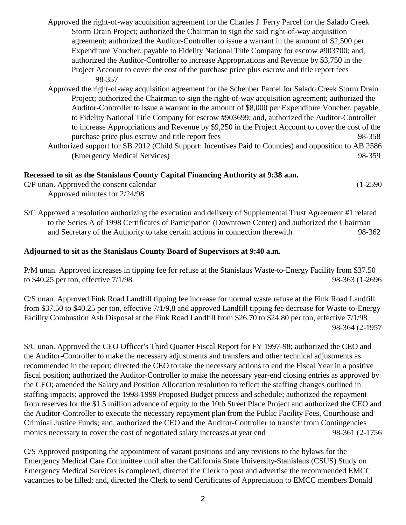- Approved the right-of-way acquisition agreement for the Charles J. Ferry Parcel for the Salado Creek Storm Drain Project; authorized the Chairman to sign the said right-of-way acquisition agreement; authorized the Auditor-Controller to issue a warrant in the amount of \$2,500 per Expenditure Voucher, payable to Fidelity National Title Company for escrow #903700; and, authorized the Auditor-Controller to increase Appropriations and Revenue by \$3,750 in the Project Account to cover the cost of the purchase price plus escrow and title report fees 98-357
- Approved the right-of-way acquisition agreement for the Scheuber Parcel for Salado Creek Storm Drain Project; authorized the Chairman to sign the right-of-way acquisition agreement; authorized the Auditor-Controller to issue a warrant in the amount of \$8,000 per Expenditure Voucher, payable to Fidelity National Title Company for escrow #903699; and, authorized the Auditor-Controller to increase Appropriations and Revenue by \$9,250 in the Project Account to cover the cost of the purchase price plus escrow and title report fees 98-358 Authorized support for SB 2012 (Child Support: Incentives Paid to Counties) and opposition to AB 2586 (Emergency Medical Services) 98-359

## **Recessed to sit as the Stanislaus County Capital Financing Authority at 9:38 a.m.**

| C/P unan. Approved the consent calendar |  | $(1-2590)$ |
|-----------------------------------------|--|------------|
| Approved minutes for 2/24/98            |  |            |

S/C Approved a resolution authorizing the execution and delivery of Supplemental Trust Agreement #1 related to the Series A of 1998 Certificates of Participation (Downtown Center) and authorized the Chairman and Secretary of the Authority to take certain actions in connection therewith 98-362

## **Adjourned to sit as the Stanislaus County Board of Supervisors at 9:40 a.m.**

P/M unan. Approved increases in tipping fee for refuse at the Stanislaus Waste-to-Energy Facility from \$37.50 to \$40.25 per ton, effective  $7/1/98$  98-363 (1-2696)

C/S unan. Approved Fink Road Landfill tipping fee increase for normal waste refuse at the Fink Road Landfill from \$37.50 to \$40.25 per ton, effective 7/1/9,8 and approved Landfill tipping fee decrease for Waste-to-Energy Facility Combustion Ash Disposal at the Fink Road Landfill from \$26.70 to \$24.80 per ton, effective 7/1/98 98-364 (2-1957

S/C unan. Approved the CEO Officer's Third Quarter Fiscal Report for FY 1997-98; authorized the CEO and the Auditor-Controller to make the necessary adjustments and transfers and other technical adjustments as recommended in the report; directed the CEO to take the necessary actions to end the Fiscal Year in a positive fiscal position; authorized the Auditor-Controller to make the necessary year-end closing entries as approved by the CEO; amended the Salary and Position Allocation resolution to reflect the staffing changes outlined in staffing impacts; approved the 1998-1999 Proposed Budget process and schedule; authorized the repayment from reserves for the \$1.5 million advance of equity to the 10th Street Place Project and authorized the CEO and the Auditor-Controller to execute the necessary repayment plan from the Public Facility Fees, Courthouse and Criminal Justice Funds; and, authorized the CEO and the Auditor-Controller to transfer from Contingencies monies necessary to cover the cost of negotiated salary increases at year end 98-361 (2-1756

C/S Approved postponing the appointment of vacant positions and any revisions to the bylaws for the Emergency Medical Care Committee until after the California State University-Stanislaus (CSUS) Study on Emergency Medical Services is completed; directed the Clerk to post and advertise the recommended EMCC vacancies to be filled; and, directed the Clerk to send Certificates of Appreciation to EMCC members Donald